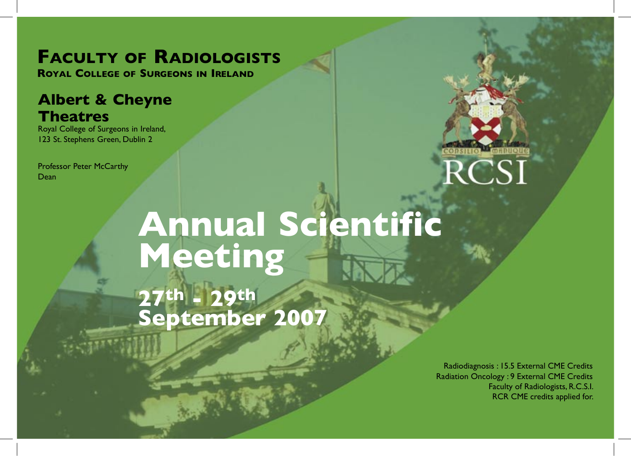## **FACULTY OF RADIOLOGISTS**

**ROYAL COLLEGE OF SURGEONS IN IRELAND**

### **Albert & Cheyne Theatres**

Royal College of Surgeons in Ireland, 123 St. Stephens Green, Dublin 2

Professor Peter McCarthy Dean



# **Annual Scientific Meeting 27th - 29th September 2007**

Radiodiagnosis : 15.5 External CME Credits Radiation Oncology : 9 External CME Credits Faculty of Radiologists, R.C.S.I. RCR CME credits applied for.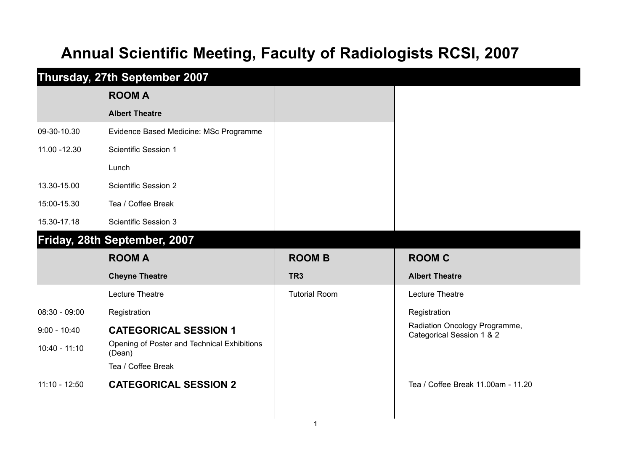## **Annual Scientific Meeting, Faculty of Radiologists RCSI, 2007**

|                 | Thursday, 27th September 2007                         |                      |                                                            |  |  |
|-----------------|-------------------------------------------------------|----------------------|------------------------------------------------------------|--|--|
|                 | <b>ROOM A</b>                                         |                      |                                                            |  |  |
|                 | <b>Albert Theatre</b>                                 |                      |                                                            |  |  |
| 09-30-10.30     | Evidence Based Medicine: MSc Programme                |                      |                                                            |  |  |
| 11.00 - 12.30   | Scientific Session 1                                  |                      |                                                            |  |  |
|                 | Lunch                                                 |                      |                                                            |  |  |
| 13.30-15.00     | <b>Scientific Session 2</b>                           |                      |                                                            |  |  |
| 15:00-15.30     | Tea / Coffee Break                                    |                      |                                                            |  |  |
| 15.30-17.18     | <b>Scientific Session 3</b>                           |                      |                                                            |  |  |
|                 | Friday, 28th September, 2007                          |                      |                                                            |  |  |
|                 | <b>ROOM A</b>                                         | <b>ROOM B</b>        | <b>ROOM C</b>                                              |  |  |
|                 | <b>Cheyne Theatre</b>                                 | TR <sub>3</sub>      | <b>Albert Theatre</b>                                      |  |  |
|                 | Lecture Theatre                                       | <b>Tutorial Room</b> | Lecture Theatre                                            |  |  |
| $08:30 - 09:00$ | Registration                                          |                      | Registration                                               |  |  |
| $9:00 - 10:40$  | <b>CATEGORICAL SESSION 1</b>                          |                      | Radiation Oncology Programme,<br>Categorical Session 1 & 2 |  |  |
| $10:40 - 11:10$ | Opening of Poster and Technical Exhibitions<br>(Dean) |                      |                                                            |  |  |
|                 | Tea / Coffee Break                                    |                      |                                                            |  |  |
| $11:10 - 12:50$ | <b>CATEGORICAL SESSION 2</b>                          |                      | Tea / Coffee Break 11.00am - 11.20                         |  |  |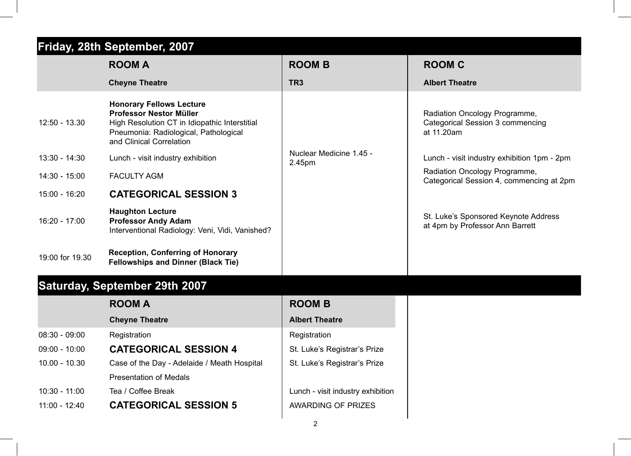| Friday, 28th September, 2007 |                                                                                                                                                                                  |                                   |                                                                                        |  |
|------------------------------|----------------------------------------------------------------------------------------------------------------------------------------------------------------------------------|-----------------------------------|----------------------------------------------------------------------------------------|--|
|                              | <b>ROOM A</b>                                                                                                                                                                    | <b>ROOM B</b>                     | <b>ROOM C</b>                                                                          |  |
|                              | <b>Cheyne Theatre</b>                                                                                                                                                            | TR <sub>3</sub>                   | <b>Albert Theatre</b>                                                                  |  |
| $12:50 - 13.30$              | <b>Honorary Fellows Lecture</b><br>Professor Nestor Müller<br>High Resolution CT in Idiopathic Interstitial<br>Pneumonia: Radiological, Pathological<br>and Clinical Correlation |                                   | Radiation Oncology Programme,<br><b>Categorical Session 3 commencing</b><br>at 11.20am |  |
| $13:30 - 14:30$              | Lunch - visit industry exhibition                                                                                                                                                | Nuclear Medicine 1.45 -<br>2.45pm | Lunch - visit industry exhibition 1pm - 2pm                                            |  |
| $14:30 - 15:00$              | <b>FACULTY AGM</b>                                                                                                                                                               |                                   | Radiation Oncology Programme,<br>Categorical Session 4, commencing at 2pm              |  |
| 15:00 - 16:20                | <b>CATEGORICAL SESSION 3</b>                                                                                                                                                     |                                   |                                                                                        |  |
| $16:20 - 17:00$              | <b>Haughton Lecture</b><br><b>Professor Andy Adam</b><br>Interventional Radiology: Veni, Vidi, Vanished?                                                                         |                                   | St. Luke's Sponsored Keynote Address<br>at 4pm by Professor Ann Barrett                |  |
| 19:00 for 19.30              | <b>Reception, Conferring of Honorary</b><br><b>Fellowships and Dinner (Black Tie)</b>                                                                                            |                                   |                                                                                        |  |
|                              | <b>Saturday, September 29th 2007</b>                                                                                                                                             |                                   |                                                                                        |  |
|                              | <b>ROOM A</b>                                                                                                                                                                    | <b>ROOM B</b>                     |                                                                                        |  |
|                              | <b>Cheyne Theatre</b>                                                                                                                                                            | <b>Albert Theatre</b>             |                                                                                        |  |
| $08:30 - 09:00$              | Registration                                                                                                                                                                     | Registration                      |                                                                                        |  |
| $09:00 - 10:00$              | <b>CATEGORICAL SESSION 4</b>                                                                                                                                                     | St. Luke's Registrar's Prize      |                                                                                        |  |
| $10.00 - 10.30$              | Case of the Day - Adelaide / Meath Hospital                                                                                                                                      | St. Luke's Registrar's Prize      |                                                                                        |  |
|                              | <b>Presentation of Medals</b>                                                                                                                                                    |                                   |                                                                                        |  |
| $10:30 - 11:00$              | Tea / Coffee Break                                                                                                                                                               | Lunch - visit industry exhibition |                                                                                        |  |
| $11:00 - 12:40$              | <b>CATEGORICAL SESSION 5</b>                                                                                                                                                     | <b>AWARDING OF PRIZES</b>         |                                                                                        |  |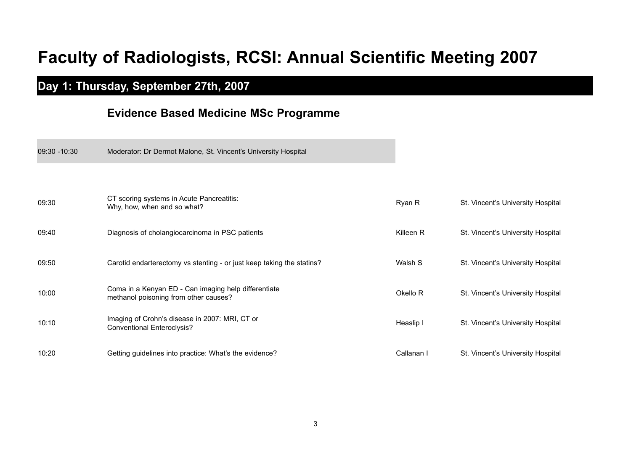## **Faculty of Radiologists, RCSI: Annual Scientific Meeting 2007**

### **Day 1: Thursday, September 27th, 2007**

09:30 -10:30 Moderator: Dr Dermot Malone, St. Vincent's University Hospital

#### **Evidence Based Medicine MSc Programme**

| 09:30 | CT scoring systems in Acute Pancreatitis:<br>Why, how, when and so what?                      | Ryan R     | St. Vincent's University Hospital |
|-------|-----------------------------------------------------------------------------------------------|------------|-----------------------------------|
| 09:40 | Diagnosis of cholangiocarcinoma in PSC patients                                               | Killeen R  | St. Vincent's University Hospital |
| 09:50 | Carotid endarterectomy vs stenting - or just keep taking the statins?                         | Walsh S    | St. Vincent's University Hospital |
| 10:00 | Coma in a Kenyan ED - Can imaging help differentiate<br>methanol poisoning from other causes? | Okello R   | St. Vincent's University Hospital |
| 10:10 | Imaging of Crohn's disease in 2007: MRI, CT or<br><b>Conventional Enteroclysis?</b>           | Heaslip I  | St. Vincent's University Hospital |
| 10:20 | Getting guidelines into practice: What's the evidence?                                        | Callanan I | St. Vincent's University Hospital |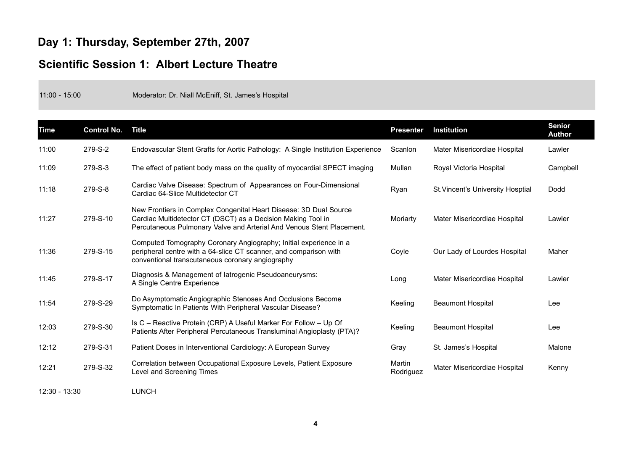### **Day 1: Thursday, September 27th, 2007**

#### **Scientific Session 1: Albert Lecture Theatre**

11:00 - 15:00 Moderator: Dr. Niall McEniff, St. James's Hospital

| <b>Time</b> | <b>Control No.</b> | <b>Title</b>                                                                                                                                                                                               | <b>Presenter</b>    | <b>Institution</b>                | <b>Senior</b><br><b>Author</b> |
|-------------|--------------------|------------------------------------------------------------------------------------------------------------------------------------------------------------------------------------------------------------|---------------------|-----------------------------------|--------------------------------|
| 11:00       | 279-S-2            | Endovascular Stent Grafts for Aortic Pathology: A Single Institution Experience                                                                                                                            | Scanlon             | Mater Misericordiae Hospital      | Lawler                         |
| 11:09       | $279-S-3$          | The effect of patient body mass on the quality of myocardial SPECT imaging                                                                                                                                 | Mullan              | Royal Victoria Hospital           | Campbell                       |
| 11:18       | 279-S-8            | Cardiac Valve Disease: Spectrum of Appearances on Four-Dimensional<br>Cardiac 64-Slice Multidetector CT                                                                                                    | Ryan                | St. Vincent's University Hosptial | Dodd                           |
| 11:27       | 279-S-10           | New Frontiers in Complex Congenital Heart Disease: 3D Dual Source<br>Cardiac Multidetector CT (DSCT) as a Decision Making Tool in<br>Percutaneous Pulmonary Valve and Arterial And Venous Stent Placement. | Moriarty            | Mater Misericordiae Hospital      | Lawler                         |
| 11:36       | 279-S-15           | Computed Tomography Coronary Angiography; Initial experience in a<br>peripheral centre with a 64-slice CT scanner, and comparison with<br>conventional transcutaneous coronary angiography                 | Coyle               | Our Lady of Lourdes Hospital      | Maher                          |
| 11:45       | 279-S-17           | Diagnosis & Management of latrogenic Pseudoaneurysms:<br>A Single Centre Experience                                                                                                                        | Long                | Mater Misericordiae Hospital      | Lawler                         |
| 11:54       | 279-S-29           | Do Asymptomatic Angiographic Stenoses And Occlusions Become<br>Symptomatic In Patients With Peripheral Vascular Disease?                                                                                   | Keeling             | <b>Beaumont Hospital</b>          | Lee                            |
| 12:03       | 279-S-30           | Is C - Reactive Protein (CRP) A Useful Marker For Follow - Up Of<br>Patients After Peripheral Percutaneous Transluminal Angioplasty (PTA)?                                                                 | Keeling             | <b>Beaumont Hospital</b>          | Lee                            |
| 12:12       | 279-S-31           | Patient Doses in Interventional Cardiology: A European Survey                                                                                                                                              | Gray                | St. James's Hospital              | Malone                         |
| 12:21       | 279-S-32           | Correlation between Occupational Exposure Levels, Patient Exposure<br>Level and Screening Times                                                                                                            | Martin<br>Rodriguez | Mater Misericordiae Hospital      | Kenny                          |

12:30 - 13:30 LUNCH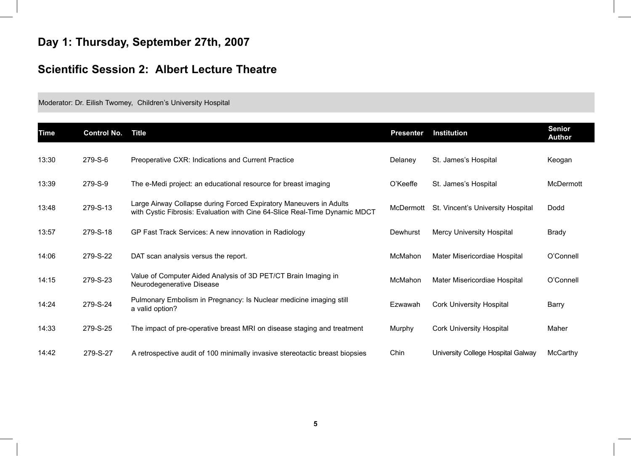### **Day 1: Thursday, September 27th, 2007**

### **Scientific Session 2: Albert Lecture Theatre**

Moderator: Dr. Eilish Twomey, Children's University Hospital

| <b>Time</b> | <b>Control No.</b> | <b>Title</b>                                                                                                                                     | <b>Presenter</b> | <b>Institution</b>                 | <b>Senior</b><br><b>Author</b> |
|-------------|--------------------|--------------------------------------------------------------------------------------------------------------------------------------------------|------------------|------------------------------------|--------------------------------|
| 13:30       | 279-S-6            | Preoperative CXR: Indications and Current Practice                                                                                               | Delaney          | St. James's Hospital               | Keogan                         |
| 13:39       | 279-S-9            | The e-Medi project: an educational resource for breast imaging                                                                                   | O'Keeffe         | St. James's Hospital               | McDermott                      |
| 13:48       | 279-S-13           | Large Airway Collapse during Forced Expiratory Maneuvers in Adults<br>with Cystic Fibrosis: Evaluation with Cine 64-Slice Real-Time Dynamic MDCT | McDermott        | St. Vincent's University Hospital  | Dodd                           |
| 13:57       | 279-S-18           | GP Fast Track Services: A new innovation in Radiology                                                                                            | Dewhurst         | <b>Mercy University Hospital</b>   | Brady                          |
| 14:06       | 279-S-22           | DAT scan analysis versus the report.                                                                                                             | McMahon          | Mater Misericordiae Hospital       | O'Connell                      |
| 14:15       | 279-S-23           | Value of Computer Aided Analysis of 3D PET/CT Brain Imaging in<br>Neurodegenerative Disease                                                      | McMahon          | Mater Misericordiae Hospital       | O'Connell                      |
| 14:24       | 279-S-24           | Pulmonary Embolism in Pregnancy: Is Nuclear medicine imaging still<br>a valid option?                                                            | Ezwawah          | <b>Cork University Hospital</b>    | Barry                          |
| 14:33       | 279-S-25           | The impact of pre-operative breast MRI on disease staging and treatment                                                                          | Murphy           | <b>Cork University Hospital</b>    | Maher                          |
| 14:42       | 279-S-27           | A retrospective audit of 100 minimally invasive stereotactic breast biopsies                                                                     | Chin             | University College Hospital Galway | <b>McCarthy</b>                |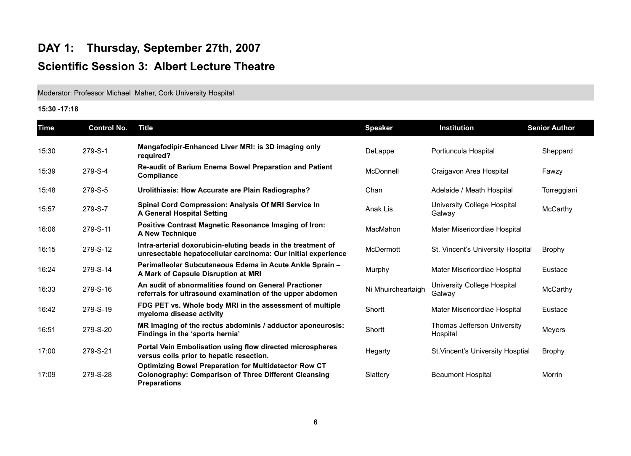### **DAY 1: Thursday, September 27th, 2007 Scientific Session 3: Albert Lecture Theatre**

Moderator: Professor Michael Maher, Cork University Hospital

#### **15:30 -17:18**

| <b>Time</b> | <b>Control No.</b> | <b>Title</b>                                                                                                                                        | <b>Speaker</b>     | <b>Institution</b>                       | <b>Senior Author</b> |
|-------------|--------------------|-----------------------------------------------------------------------------------------------------------------------------------------------------|--------------------|------------------------------------------|----------------------|
| 15:30       | 279-S-1            | Mangafodipir-Enhanced Liver MRI: is 3D imaging only<br>required?                                                                                    | DeLappe            | Portiuncula Hospital                     | Sheppard             |
| 15:39       | 279-S-4            | <b>Re-audit of Barium Enema Bowel Preparation and Patient</b><br>Compliance                                                                         | McDonnell          | Craigavon Area Hospital                  | Fawzy                |
| 15:48       | 279-S-5            | Urolithiasis: How Accurate are Plain Radiographs?                                                                                                   | Chan               | Adelaide / Meath Hospital                | Torreggiani          |
| 15:57       | 279-S-7            | <b>Spinal Cord Compression: Analysis Of MRI Service In</b><br><b>A General Hospital Setting</b>                                                     | Anak Lis           | University College Hospital<br>Galway    | McCarthy             |
| 16:06       | 279-S-11           | <b>Positive Contrast Magnetic Resonance Imaging of Iron:</b><br>A New Technique                                                                     | MacMahon           | Mater Misericordiae Hospital             |                      |
| 16:15       | 279-S-12           | Intra-arterial doxorubicin-eluting beads in the treatment of<br>unresectable hepatocellular carcinoma: Our initial experience                       | McDermott          | St. Vincent's University Hospital        | <b>Brophy</b>        |
| 16:24       | 279-S-14           | Perimalleolar Subcutaneous Edema in Acute Ankle Sprain -<br>A Mark of Capsule Disruption at MRI                                                     | Murphy             | Mater Misericordiae Hospital             | Eustace              |
| 16:33       | 279-S-16           | An audit of abnormalities found on General Practioner<br>referrals for ultrasound examination of the upper abdomen                                  | Ni Mhuircheartaigh | University College Hospital<br>Galway    | McCarthy             |
| 16:42       | 279-S-19           | FDG PET vs. Whole body MRI in the assessment of multiple<br>myeloma disease activity                                                                | Shortt             | Mater Misericordiae Hospital             | Eustace              |
| 16:51       | 279-S-20           | MR Imaging of the rectus abdominis / adductor aponeurosis:<br>Findings in the 'sports hernia'                                                       | Shortt             | Thomas Jefferson University<br>Hospital  | Meyers               |
| 17:00       | 279-S-21           | <b>Portal Vein Embolisation using flow directed microspheres</b><br>versus coils prior to hepatic resection.                                        | Hegarty            | <b>St. Vincent's University Hosptial</b> | <b>Brophy</b>        |
| 17:09       | 279-S-28           | <b>Optimizing Bowel Preparation for Multidetector Row CT</b><br><b>Colonography: Comparison of Three Different Cleansing</b><br><b>Preparations</b> | Slattery           | <b>Beaumont Hospital</b>                 | Morrin               |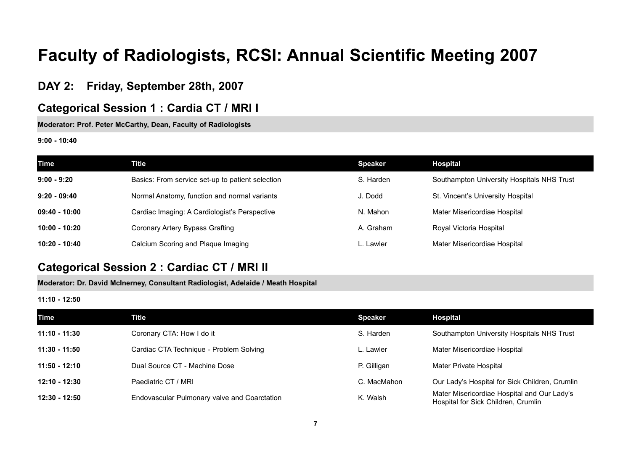## **Faculty of Radiologists, RCSI: Annual Scientific Meeting 2007**

#### **DAY 2: Friday, September 28th, 2007**

#### **Categorical Session 1 : Cardia CT / MRI I**

**Moderator: Prof. Peter McCarthy, Dean, Faculty of Radiologists**

**9:00 - 10:40**

| <b>Time</b>     | Title                                            | <b>Speaker</b> | <b>Hospital</b>                            |
|-----------------|--------------------------------------------------|----------------|--------------------------------------------|
| $9:00 - 9:20$   | Basics: From service set-up to patient selection | S. Harden      | Southampton University Hospitals NHS Trust |
| $9:20 - 09:40$  | Normal Anatomy, function and normal variants     | J. Dodd        | St. Vincent's University Hospital          |
| $09:40 - 10:00$ | Cardiac Imaging: A Cardiologist's Perspective    | N. Mahon       | Mater Misericordiae Hospital               |
| 10:00 - 10:20   | Coronary Artery Bypass Grafting                  | A. Graham      | Royal Victoria Hospital                    |
| 10:20 - 10:40   | Calcium Scoring and Plaque Imaging               | L. Lawler      | Mater Misericordiae Hospital               |

#### **Categorical Session 2 : Cardiac CT / MRI II**

**Moderator: Dr. David McInerney, Consultant Radiologist, Adelaide / Meath Hospital**

**11:10 - 12:50**

| <b>Time</b>     | Title                                        | <b>Speaker</b> | <b>Hospital</b>                                                                    |
|-----------------|----------------------------------------------|----------------|------------------------------------------------------------------------------------|
| 11:10 - 11:30   | Coronary CTA: How I do it                    | S. Harden      | Southampton University Hospitals NHS Trust                                         |
| 11:30 - 11:50   | Cardiac CTA Technique - Problem Solving      | Lawler         | Mater Misericordiae Hospital                                                       |
| $11:50 - 12:10$ | Dual Source CT - Machine Dose                | P. Gilligan    | Mater Private Hospital                                                             |
| $12:10 - 12:30$ | Paediatric CT / MRI                          | C. MacMahon    | Our Lady's Hospital for Sick Children, Crumlin                                     |
| 12:30 - 12:50   | Endovascular Pulmonary valve and Coarctation | K. Walsh       | Mater Misericordiae Hospital and Our Lady's<br>Hospital for Sick Children, Crumlin |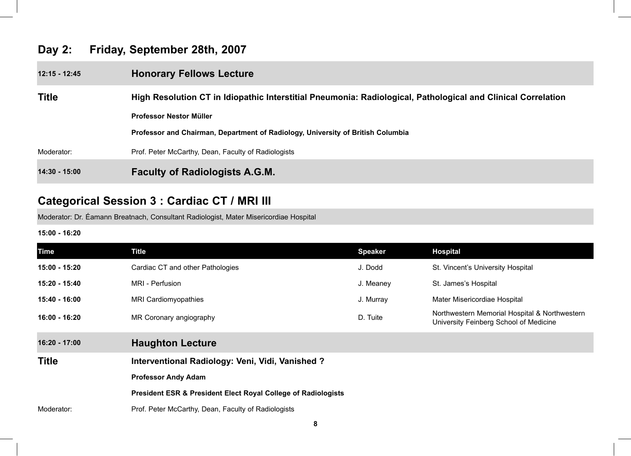#### **Day 2: Friday, September 28th, 2007**

| 12:15 - 12:45 | <b>Honorary Fellows Lecture</b>                                                                              |  |  |
|---------------|--------------------------------------------------------------------------------------------------------------|--|--|
| <b>Title</b>  | High Resolution CT in Idiopathic Interstitial Pneumonia: Radiological, Pathological and Clinical Correlation |  |  |
|               | Professor Nestor Müller                                                                                      |  |  |
|               | Professor and Chairman, Department of Radiology, University of British Columbia                              |  |  |
| Moderator:    | Prof. Peter McCarthy, Dean, Faculty of Radiologists                                                          |  |  |
| 14:30 - 15:00 | <b>Faculty of Radiologists A.G.M.</b>                                                                        |  |  |

### **Categorical Session 3 : Cardiac CT / MRI III**

Moderator: Dr. Éamann Breatnach, Consultant Radiologist, Mater Misericordiae Hospital

#### **15:00 - 16:20**

| <b>Time</b>   | <b>Title</b>                                                  | <b>Speaker</b> | <b>Hospital</b>                                                                         |  |
|---------------|---------------------------------------------------------------|----------------|-----------------------------------------------------------------------------------------|--|
| 15:00 - 15:20 | Cardiac CT and other Pathologies                              | J. Dodd        | St. Vincent's University Hospital                                                       |  |
| 15:20 - 15:40 | MRI - Perfusion                                               | J. Meaney      | St. James's Hospital                                                                    |  |
| 15:40 - 16:00 | <b>MRI Cardiomyopathies</b>                                   | J. Murray      | Mater Misericordiae Hospital                                                            |  |
| 16:00 - 16:20 | MR Coronary angiography                                       | D. Tuite       | Northwestern Memorial Hospital & Northwestern<br>University Feinberg School of Medicine |  |
| 16:20 - 17:00 | <b>Haughton Lecture</b>                                       |                |                                                                                         |  |
| <b>Title</b>  | Interventional Radiology: Veni, Vidi, Vanished?               |                |                                                                                         |  |
|               | <b>Professor Andy Adam</b>                                    |                |                                                                                         |  |
|               | President ESR & President Elect Royal College of Radiologists |                |                                                                                         |  |
| Moderator:    | Prof. Peter McCarthy, Dean, Faculty of Radiologists           |                |                                                                                         |  |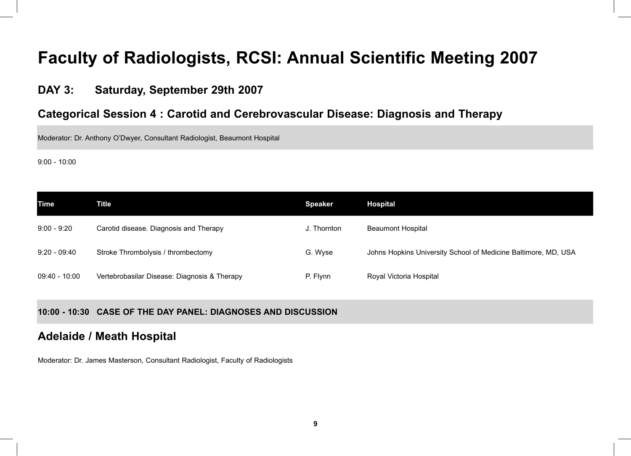### **Faculty of Radiologists, RCSI: Annual Scientific Meeting 2007**

#### **DAY 3: Saturday, September 29th 2007**

#### **Categorical Session 4 : Carotid and Cerebrovascular Disease: Diagnosis and Therapy**

Moderator: Dr. Anthony O'Dwyer, Consultant Radiologist, Beaumont Hospital

9:00 - 10:00

| Time           | Title                                        | <b>Speaker</b> | <b>Hospital</b>                                                |
|----------------|----------------------------------------------|----------------|----------------------------------------------------------------|
| $9:00 - 9:20$  | Carotid disease. Diagnosis and Therapy       | J. Thornton    | <b>Beaumont Hospital</b>                                       |
| $9:20 - 09:40$ | Stroke Thrombolysis / thrombectomy           | G. Wyse        | Johns Hopkins University School of Medicine Baltimore, MD, USA |
| 09:40 - 10:00  | Vertebrobasilar Disease: Diagnosis & Therapy | P. Flynn       | Royal Victoria Hospital                                        |

**10:00 - 10:30 CASE OF THE DAY PANEL: DIAGNOSES AND DISCUSSION**

#### **Adelaide / Meath Hospital**

Moderator: Dr. James Masterson, Consultant Radiologist, Faculty of Radiologists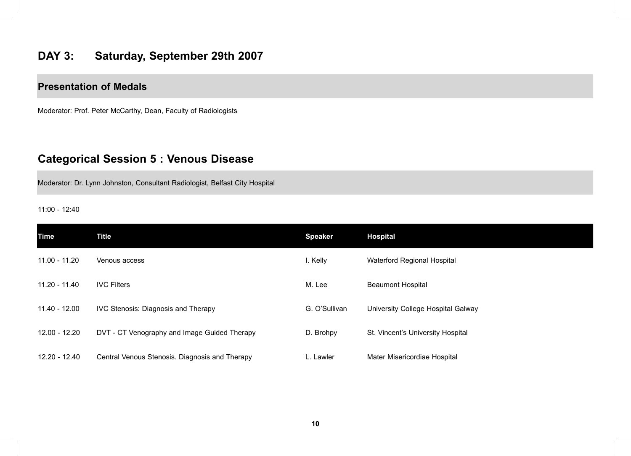#### **DAY 3: Saturday, September 29th 2007**

#### **Presentation of Medals**

Moderator: Prof. Peter McCarthy, Dean, Faculty of Radiologists

#### **Categorical Session 5 : Venous Disease**

Moderator: Dr. Lynn Johnston, Consultant Radiologist, Belfast City Hospital

11:00 - 12:40

| <b>Time</b>     | <b>Title</b>                                   | <b>Speaker</b> | <b>Hospital</b>                    |
|-----------------|------------------------------------------------|----------------|------------------------------------|
| $11.00 - 11.20$ | Venous access                                  | I. Kelly       | Waterford Regional Hospital        |
| 11.20 - 11.40   | <b>IVC Filters</b>                             | M. Lee         | <b>Beaumont Hospital</b>           |
| 11.40 - 12.00   | <b>IVC Stenosis: Diagnosis and Therapy</b>     | G. O'Sullivan  | University College Hospital Galway |
| 12.00 - 12.20   | DVT - CT Venography and Image Guided Therapy   | D. Brohpy      | St. Vincent's University Hospital  |
| 12.20 - 12.40   | Central Venous Stenosis. Diagnosis and Therapy | L. Lawler      | Mater Misericordiae Hospital       |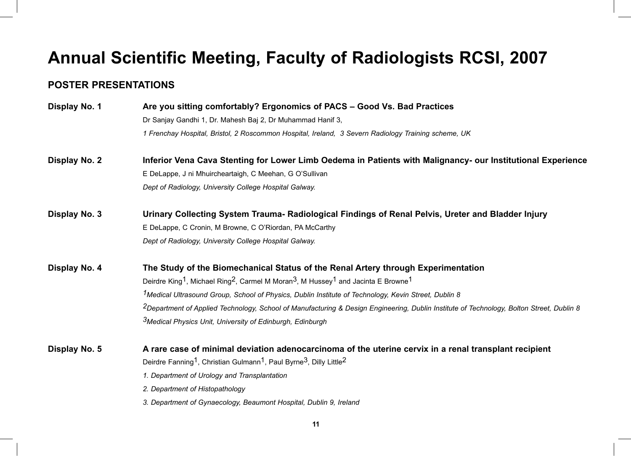### **Annual Scientific Meeting, Faculty of Radiologists RCSI, 2007**

#### **POSTER PRESENTATIONS**

**Display No. 1 Are you sitting comfortably? Ergonomics of PACS – Good Vs. Bad Practices** Dr Sanjay Gandhi 1, Dr. Mahesh Baj 2, Dr Muhammad Hanif 3, *1 Frenchay Hospital, Bristol, 2 Roscommon Hospital, Ireland, 3 Severn Radiology Training scheme, UK* 

- **Display No. 2 Inferior Vena Cava Stenting for Lower Limb Oedema in Patients with Malignancy- our Institutional Experience** E DeLappe, J ni Mhuircheartaigh, C Meehan, G O'Sullivan *Dept of Radiology, University College Hospital Galway.*
- **Display No. 3 Urinary Collecting System Trauma- Radiological Findings of Renal Pelvis, Ureter and Bladder Injury** E DeLappe, C Cronin, M Browne, C O'Riordan, PA McCarthy *Dept of Radiology, University College Hospital Galway.*
- **Display No. 4 The Study of the Biomechanical Status of the Renal Artery through Experimentation** Deirdre King<sup>1</sup>, Michael Ring<sup>2</sup>, Carmel M Moran<sup>3</sup>, M Hussey<sup>1</sup> and Jacinta E Browne<sup>1</sup> *1Medical Ultrasound Group, School of Physics, Dublin Institute of Technology, Kevin Street, Dublin 8 2Department of Applied Technology, School of Manufacturing & Design Engineering, Dublin Institute of Technology, Bolton Street, Dublin 8 3Medical Physics Unit, University of Edinburgh, Edinburgh*
- **Display No. 5 A rare case of minimal deviation adenocarcinoma of the uterine cervix in a renal transplant recipient** Deirdre Fanning<sup>1</sup>, Christian Gulmann<sup>1</sup>, Paul Byrne<sup>3</sup>, Dilly Little<sup>2</sup>
	- *1. Department of Urology and Transplantation*
	- *2. Department of Histopathology*
	- *3. Department of Gynaecology, Beaumont Hospital, Dublin 9, Ireland*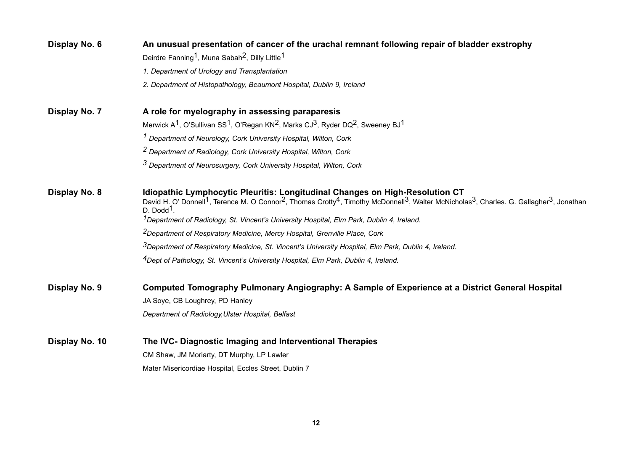| Display No. 6  | An unusual presentation of cancer of the urachal remnant following repair of bladder exstrophy<br>Deirdre Fanning <sup>1</sup> , Muna Sabah <sup>2</sup> , Dilly Little <sup>1</sup>                                                                                                                                                                                                                                                    |  |  |
|----------------|-----------------------------------------------------------------------------------------------------------------------------------------------------------------------------------------------------------------------------------------------------------------------------------------------------------------------------------------------------------------------------------------------------------------------------------------|--|--|
|                |                                                                                                                                                                                                                                                                                                                                                                                                                                         |  |  |
|                | 1. Department of Urology and Transplantation                                                                                                                                                                                                                                                                                                                                                                                            |  |  |
|                | 2. Department of Histopathology, Beaumont Hospital, Dublin 9, Ireland                                                                                                                                                                                                                                                                                                                                                                   |  |  |
| Display No. 7  | A role for myelography in assessing paraparesis                                                                                                                                                                                                                                                                                                                                                                                         |  |  |
|                | Merwick $A^1$ , O'Sullivan SS <sup>1</sup> , O'Regan KN <sup>2</sup> , Marks CJ <sup>3</sup> , Ryder DQ <sup>2</sup> , Sweeney BJ <sup>1</sup>                                                                                                                                                                                                                                                                                          |  |  |
|                | <sup>1</sup> Department of Neurology, Cork University Hospital, Wilton, Cork                                                                                                                                                                                                                                                                                                                                                            |  |  |
|                | <sup>2</sup> Department of Radiology, Cork University Hospital, Wilton, Cork                                                                                                                                                                                                                                                                                                                                                            |  |  |
|                | <sup>3</sup> Department of Neurosurgery, Cork University Hospital, Wilton, Cork                                                                                                                                                                                                                                                                                                                                                         |  |  |
| Display No. 8  | Idiopathic Lymphocytic Pleuritis: Longitudinal Changes on High-Resolution CT<br>David H. O' Donnell <sup>1</sup> , Terence M. O Connor <sup>2</sup> , Thomas Crotty <sup>4</sup> , Timothy McDonnell <sup>3</sup> , Walter McNicholas <sup>3</sup> , Charles. G. Gallagher <sup>3</sup> , Jonathan<br>$D.$ Dodd <sup>1</sup> .<br><sup>1</sup> Department of Radiology, St. Vincent's University Hospital, Elm Park, Dublin 4, Ireland. |  |  |
|                | <sup>2</sup> Department of Respiratory Medicine, Mercy Hospital, Grenville Place, Cork                                                                                                                                                                                                                                                                                                                                                  |  |  |
|                | <sup>3</sup> Department of Respiratory Medicine, St. Vincent's University Hospital, Elm Park, Dublin 4, Ireland.                                                                                                                                                                                                                                                                                                                        |  |  |
|                | <sup>4</sup> Dept of Pathology, St. Vincent's University Hospital, Elm Park, Dublin 4, Ireland.                                                                                                                                                                                                                                                                                                                                         |  |  |
| Display No. 9  | Computed Tomography Pulmonary Angiography: A Sample of Experience at a District General Hospital                                                                                                                                                                                                                                                                                                                                        |  |  |
|                | JA Soye, CB Loughrey, PD Hanley                                                                                                                                                                                                                                                                                                                                                                                                         |  |  |
|                | Department of Radiology, Ulster Hospital, Belfast                                                                                                                                                                                                                                                                                                                                                                                       |  |  |
| Display No. 10 | The IVC- Diagnostic Imaging and Interventional Therapies                                                                                                                                                                                                                                                                                                                                                                                |  |  |
|                | CM Shaw, JM Moriarty, DT Murphy, LP Lawler                                                                                                                                                                                                                                                                                                                                                                                              |  |  |
|                | Mater Misericordiae Hospital, Eccles Street, Dublin 7                                                                                                                                                                                                                                                                                                                                                                                   |  |  |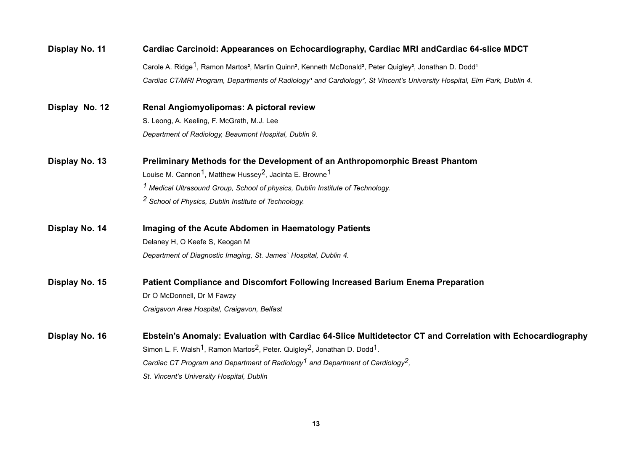| Display No. 11 | Cardiac Carcinoid: Appearances on Echocardiography, Cardiac MRI and Cardiac 64-slice MDCT                                                                                         |  |  |
|----------------|-----------------------------------------------------------------------------------------------------------------------------------------------------------------------------------|--|--|
|                | Carole A. Ridge <sup>1</sup> , Ramon Martos <sup>2</sup> , Martin Quinn <sup>2</sup> , Kenneth McDonald <sup>2</sup> , Peter Quigley <sup>2</sup> , Jonathan D. Dodd <sup>1</sup> |  |  |
|                | Cardiac CT/MRI Program, Departments of Radiology <sup>1</sup> and Cardiology <sup>2</sup> , St Vincent's University Hospital, Elm Park, Dublin 4.                                 |  |  |
| Display No. 12 | Renal Angiomyolipomas: A pictoral review                                                                                                                                          |  |  |
|                | S. Leong, A. Keeling, F. McGrath, M.J. Lee                                                                                                                                        |  |  |
|                | Department of Radiology, Beaumont Hospital, Dublin 9.                                                                                                                             |  |  |
| Display No. 13 | Preliminary Methods for the Development of an Anthropomorphic Breast Phantom                                                                                                      |  |  |
|                | Louise M. Cannon <sup>1</sup> , Matthew Hussey <sup>2</sup> , Jacinta E. Browne <sup>1</sup>                                                                                      |  |  |
|                | <sup>1</sup> Medical Ultrasound Group, School of physics, Dublin Institute of Technology.                                                                                         |  |  |
|                | <sup>2</sup> School of Physics, Dublin Institute of Technology.                                                                                                                   |  |  |
| Display No. 14 | Imaging of the Acute Abdomen in Haematology Patients                                                                                                                              |  |  |
|                | Delaney H, O Keefe S, Keogan M                                                                                                                                                    |  |  |
|                | Department of Diagnostic Imaging, St. James` Hospital, Dublin 4.                                                                                                                  |  |  |
| Display No. 15 | Patient Compliance and Discomfort Following Increased Barium Enema Preparation                                                                                                    |  |  |
|                | Dr O McDonnell, Dr M Fawzy                                                                                                                                                        |  |  |
|                | Craigavon Area Hospital, Craigavon, Belfast                                                                                                                                       |  |  |
| Display No. 16 | Ebstein's Anomaly: Evaluation with Cardiac 64-Slice Multidetector CT and Correlation with Echocardiography                                                                        |  |  |
|                | Simon L. F. Walsh <sup>1</sup> , Ramon Martos <sup>2</sup> , Peter. Quigley <sup>2</sup> , Jonathan D. Dodd <sup>1</sup> .                                                        |  |  |
|                | Cardiac CT Program and Department of Radiology <sup>1</sup> and Department of Cardiology <sup>2</sup> ,                                                                           |  |  |
|                | St. Vincent's University Hospital, Dublin                                                                                                                                         |  |  |
|                |                                                                                                                                                                                   |  |  |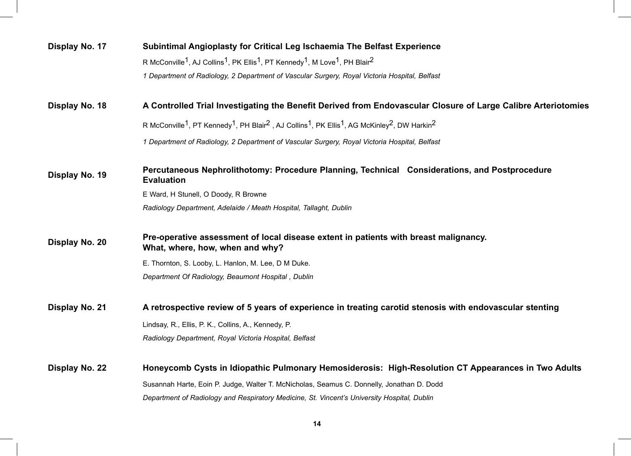| Display No. 17                                                                                                                  | Subintimal Angioplasty for Critical Leg Ischaemia The Belfast Experience                                                                                                          |  |
|---------------------------------------------------------------------------------------------------------------------------------|-----------------------------------------------------------------------------------------------------------------------------------------------------------------------------------|--|
|                                                                                                                                 | R McConville <sup>1</sup> , AJ Collins <sup>1</sup> , PK Ellis <sup>1</sup> , PT Kennedy <sup>1</sup> , M Love <sup>1</sup> , PH Blair <sup>2</sup>                               |  |
|                                                                                                                                 | 1 Department of Radiology, 2 Department of Vascular Surgery, Royal Victoria Hospital, Belfast                                                                                     |  |
| A Controlled Trial Investigating the Benefit Derived from Endovascular Closure of Large Calibre Arteriotomies<br>Display No. 18 |                                                                                                                                                                                   |  |
|                                                                                                                                 | R McConville <sup>1</sup> , PT Kennedy <sup>1</sup> , PH Blair <sup>2</sup> , AJ Collins <sup>1</sup> , PK Ellis <sup>1</sup> , AG McKinley <sup>2</sup> , DW Harkin <sup>2</sup> |  |
|                                                                                                                                 | 1 Department of Radiology, 2 Department of Vascular Surgery, Royal Victoria Hospital, Belfast                                                                                     |  |
| Display No. 19                                                                                                                  | Percutaneous Nephrolithotomy: Procedure Planning, Technical Considerations, and Postprocedure<br><b>Evaluation</b>                                                                |  |
|                                                                                                                                 | E Ward, H Stunell, O Doody, R Browne                                                                                                                                              |  |
|                                                                                                                                 | Radiology Department, Adelaide / Meath Hospital, Tallaght, Dublin                                                                                                                 |  |
| Display No. 20                                                                                                                  | Pre-operative assessment of local disease extent in patients with breast malignancy.<br>What, where, how, when and why?                                                           |  |
|                                                                                                                                 | E. Thornton, S. Looby, L. Hanlon, M. Lee, D M Duke.                                                                                                                               |  |
|                                                                                                                                 | Department Of Radiology, Beaumont Hospital, Dublin                                                                                                                                |  |
| Display No. 21                                                                                                                  | A retrospective review of 5 years of experience in treating carotid stenosis with endovascular stenting                                                                           |  |
|                                                                                                                                 | Lindsay, R., Ellis, P. K., Collins, A., Kennedy, P.                                                                                                                               |  |
|                                                                                                                                 | Radiology Department, Royal Victoria Hospital, Belfast                                                                                                                            |  |
| Display No. 22                                                                                                                  | Honeycomb Cysts in Idiopathic Pulmonary Hemosiderosis: High-Resolution CT Appearances in Two Adults                                                                               |  |
|                                                                                                                                 | Susannah Harte, Eoin P. Judge, Walter T. McNicholas, Seamus C. Donnelly, Jonathan D. Dodd                                                                                         |  |
|                                                                                                                                 | Department of Radiology and Respiratory Medicine, St. Vincent's University Hospital, Dublin                                                                                       |  |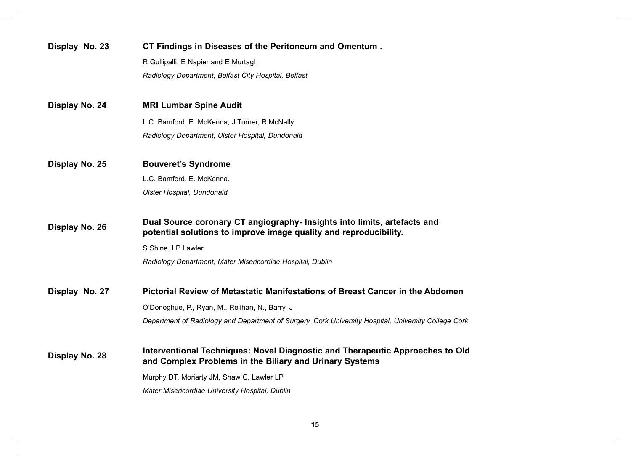| Display No. 23 | CT Findings in Diseases of the Peritoneum and Omentum.                                                                                        |  |
|----------------|-----------------------------------------------------------------------------------------------------------------------------------------------|--|
|                | R Gullipalli, E Napier and E Murtagh                                                                                                          |  |
|                | Radiology Department, Belfast City Hospital, Belfast                                                                                          |  |
| Display No. 24 | <b>MRI Lumbar Spine Audit</b>                                                                                                                 |  |
|                | L.C. Bamford, E. McKenna, J.Turner, R.McNally                                                                                                 |  |
|                | Radiology Department, Ulster Hospital, Dundonald                                                                                              |  |
| Display No. 25 | <b>Bouveret's Syndrome</b>                                                                                                                    |  |
|                | L.C. Bamford, E. McKenna.                                                                                                                     |  |
|                | <b>Ulster Hospital, Dundonald</b>                                                                                                             |  |
| Display No. 26 | Dual Source coronary CT angiography- Insights into limits, artefacts and<br>potential solutions to improve image quality and reproducibility. |  |
|                | S Shine, LP Lawler                                                                                                                            |  |
|                | Radiology Department, Mater Misericordiae Hospital, Dublin                                                                                    |  |
| Display No. 27 | Pictorial Review of Metastatic Manifestations of Breast Cancer in the Abdomen                                                                 |  |
|                | O'Donoghue, P., Ryan, M., Relihan, N., Barry, J.                                                                                              |  |
|                | Department of Radiology and Department of Surgery, Cork University Hospital, University College Cork                                          |  |
| Display No. 28 | Interventional Techniques: Novel Diagnostic and Therapeutic Approaches to Old<br>and Complex Problems in the Biliary and Urinary Systems      |  |
|                | Murphy DT, Moriarty JM, Shaw C, Lawler LP                                                                                                     |  |
|                | Mater Misericordiae University Hospital, Dublin                                                                                               |  |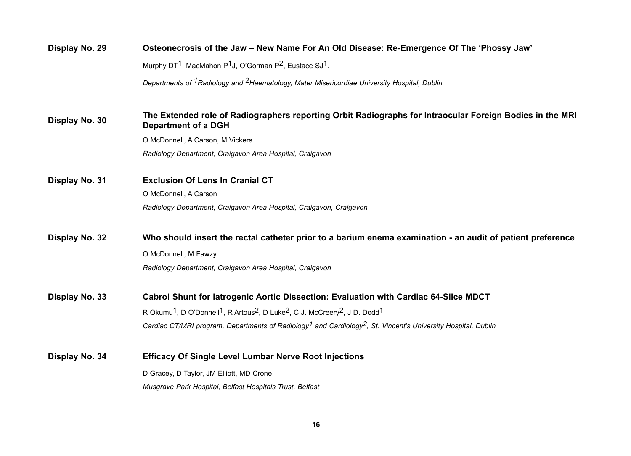| Display No. 29 | Osteonecrosis of the Jaw - New Name For An Old Disease: Re-Emergence Of The 'Phossy Jaw'                                                            |
|----------------|-----------------------------------------------------------------------------------------------------------------------------------------------------|
|                | Murphy DT <sup>1</sup> , MacMahon P <sup>1</sup> J, O'Gorman P <sup>2</sup> , Eustace SJ <sup>1</sup> .                                             |
|                | Departments of <sup>1</sup> Radiology and <sup>2</sup> Haematology, Mater Misericordiae University Hospital, Dublin                                 |
| Display No. 30 | The Extended role of Radiographers reporting Orbit Radiographs for Intraocular Foreign Bodies in the MRI<br>Department of a DGH                     |
|                | O McDonnell, A Carson, M Vickers                                                                                                                    |
|                | Radiology Department, Craigavon Area Hospital, Craigavon                                                                                            |
| Display No. 31 | <b>Exclusion Of Lens In Cranial CT</b>                                                                                                              |
|                | O McDonnell, A Carson                                                                                                                               |
|                | Radiology Department, Craigavon Area Hospital, Craigavon, Craigavon                                                                                 |
| Display No. 32 | Who should insert the rectal catheter prior to a barium enema examination - an audit of patient preference                                          |
|                | O McDonnell, M Fawzy                                                                                                                                |
|                | Radiology Department, Craigavon Area Hospital, Craigavon                                                                                            |
| Display No. 33 | Cabrol Shunt for latrogenic Aortic Dissection: Evaluation with Cardiac 64-Slice MDCT                                                                |
|                | R Okumu <sup>1</sup> , D O'Donnell <sup>1</sup> , R Artous <sup>2</sup> , D Luke <sup>2</sup> , C J. McCreery <sup>2</sup> , J D. Dodd <sup>1</sup> |
|                | Cardiac CT/MRI program, Departments of Radiology <sup>1</sup> and Cardiology <sup>2</sup> , St. Vincent's University Hospital, Dublin               |
| Display No. 34 | <b>Efficacy Of Single Level Lumbar Nerve Root Injections</b>                                                                                        |
|                | D Gracey, D Taylor, JM Elliott, MD Crone                                                                                                            |
|                | Musgrave Park Hospital, Belfast Hospitals Trust, Belfast                                                                                            |
|                |                                                                                                                                                     |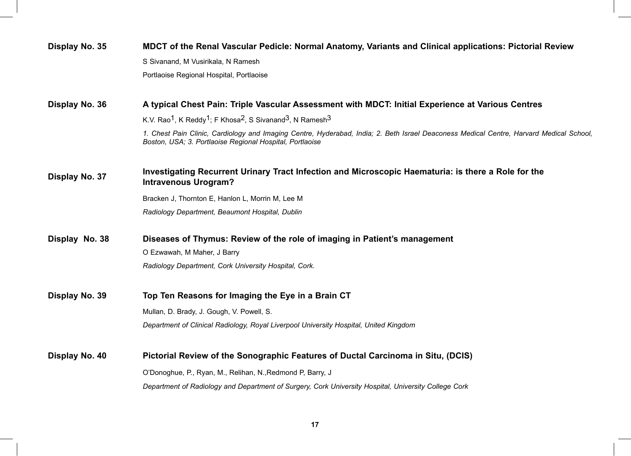| Display No. 35 | MDCT of the Renal Vascular Pedicle: Normal Anatomy, Variants and Clinical applications: Pictorial Review                                                                                            |  |  |
|----------------|-----------------------------------------------------------------------------------------------------------------------------------------------------------------------------------------------------|--|--|
|                | S Sivanand, M Vusirikala, N Ramesh                                                                                                                                                                  |  |  |
|                | Portlaoise Regional Hospital, Portlaoise                                                                                                                                                            |  |  |
| Display No. 36 | A typical Chest Pain: Triple Vascular Assessment with MDCT: Initial Experience at Various Centres                                                                                                   |  |  |
|                | K.V. Rao <sup>1</sup> , K Reddy <sup>1</sup> ; F Khosa <sup>2</sup> , S Sivanand <sup>3</sup> , N Ramesh <sup>3</sup>                                                                               |  |  |
|                | 1. Chest Pain Clinic, Cardiology and Imaging Centre, Hyderabad, India; 2. Beth Israel Deaconess Medical Centre, Harvard Medical School,<br>Boston, USA; 3. Portlaoise Regional Hospital, Portlaoise |  |  |
| Display No. 37 | Investigating Recurrent Urinary Tract Infection and Microscopic Haematuria: is there a Role for the<br><b>Intravenous Urogram?</b>                                                                  |  |  |
|                | Bracken J, Thornton E, Hanlon L, Morrin M, Lee M                                                                                                                                                    |  |  |
|                | Radiology Department, Beaumont Hospital, Dublin                                                                                                                                                     |  |  |
| Display No. 38 | Diseases of Thymus: Review of the role of imaging in Patient's management                                                                                                                           |  |  |
|                | O Ezwawah, M Maher, J Barry                                                                                                                                                                         |  |  |
|                | Radiology Department, Cork University Hospital, Cork.                                                                                                                                               |  |  |
| Display No. 39 | Top Ten Reasons for Imaging the Eye in a Brain CT                                                                                                                                                   |  |  |
|                | Mullan, D. Brady, J. Gough, V. Powell, S.                                                                                                                                                           |  |  |
|                | Department of Clinical Radiology, Royal Liverpool University Hospital, United Kingdom                                                                                                               |  |  |
| Display No. 40 | Pictorial Review of the Sonographic Features of Ductal Carcinoma in Situ, (DCIS)                                                                                                                    |  |  |
|                | O'Donoghue, P., Ryan, M., Relihan, N., Redmond P, Barry, J                                                                                                                                          |  |  |
|                | Department of Radiology and Department of Surgery, Cork University Hospital, University College Cork                                                                                                |  |  |
|                |                                                                                                                                                                                                     |  |  |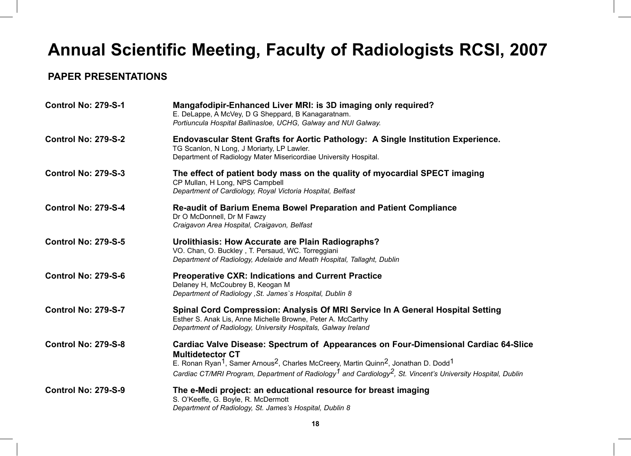## **Annual Scientific Meeting, Faculty of Radiologists RCSI, 2007**

#### **PAPER PRESENTATIONS**

| <b>Control No: 279-S-1</b> | Mangafodipir-Enhanced Liver MRI: is 3D imaging only required?<br>E. DeLappe, A McVey, D G Sheppard, B Kanagaratnam.<br>Portiuncula Hospital Ballinasloe, UCHG, Galway and NUI Galway.                                                                                                                                                                                                          |  |
|----------------------------|------------------------------------------------------------------------------------------------------------------------------------------------------------------------------------------------------------------------------------------------------------------------------------------------------------------------------------------------------------------------------------------------|--|
| <b>Control No: 279-S-2</b> | Endovascular Stent Grafts for Aortic Pathology: A Single Institution Experience.<br>TG Scanlon, N Long, J Moriarty, LP Lawler.<br>Department of Radiology Mater Misericordiae University Hospital.                                                                                                                                                                                             |  |
| <b>Control No: 279-S-3</b> | The effect of patient body mass on the quality of myocardial SPECT imaging<br>CP Mullan, H Long, NPS Campbell<br>Department of Cardiology, Royal Victoria Hospital, Belfast                                                                                                                                                                                                                    |  |
| <b>Control No: 279-S-4</b> | <b>Re-audit of Barium Enema Bowel Preparation and Patient Compliance</b><br>Dr O McDonnell, Dr M Fawzy<br>Craigavon Area Hospital, Craigavon, Belfast                                                                                                                                                                                                                                          |  |
| <b>Control No: 279-S-5</b> | Urolithiasis: How Accurate are Plain Radiographs?<br>VO. Chan, O. Buckley, T. Persaud, WC. Torreggiani<br>Department of Radiology, Adelaide and Meath Hospital, Tallaght, Dublin                                                                                                                                                                                                               |  |
| <b>Control No: 279-S-6</b> | <b>Preoperative CXR: Indications and Current Practice</b><br>Delaney H, McCoubrey B, Keogan M<br>Department of Radiology, St. James's Hospital, Dublin 8                                                                                                                                                                                                                                       |  |
| <b>Control No: 279-S-7</b> | Spinal Cord Compression: Analysis Of MRI Service In A General Hospital Setting<br>Esther S. Anak Lis, Anne Michelle Browne, Peter A. McCarthy<br>Department of Radiology, University Hospitals, Galway Ireland                                                                                                                                                                                 |  |
| <b>Control No: 279-S-8</b> | Cardiac Valve Disease: Spectrum of Appearances on Four-Dimensional Cardiac 64-Slice<br><b>Multidetector CT</b><br>E. Ronan Ryan <sup>1</sup> , Samer Arnous <sup>2</sup> , Charles McCreery, Martin Quinn <sup>2</sup> , Jonathan D. Dodd <sup>1</sup><br>Cardiac CT/MRI Program, Department of Radiology <sup>1</sup> and Cardiology <sup>2</sup> , St. Vincent's University Hospital, Dublin |  |
| <b>Control No: 279-S-9</b> | The e-Medi project: an educational resource for breast imaging<br>S. O'Keeffe, G. Boyle, R. McDermott<br>Department of Radiology, St. James's Hospital, Dublin 8                                                                                                                                                                                                                               |  |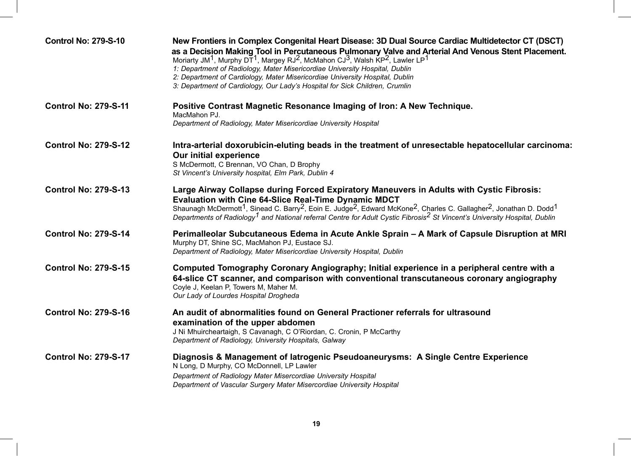| <b>Control No: 279-S-10</b> | New Frontiers in Complex Congenital Heart Disease: 3D Dual Source Cardiac Multidetector CT (DSCT)<br>as a Decision Making Tool in Percutaneous Pulmonary Valve and Arterial And Venous Stent Placement.<br>Moriarty JM <sup>1</sup> , Murphy DT <sup>1</sup> , Margey RJ <sup>2</sup> , McMahon CJ <sup>3</sup> , Walsh KP <sup>2</sup> , Lawler LP <sup>1</sup><br>1: Department of Radiology, Mater Misericordiae University Hospital, Dublin<br>2: Department of Cardiology, Mater Misericordiae University Hospital, Dublin<br>3: Department of Cardiology, Our Lady's Hospital for Sick Children, Crumlin |  |
|-----------------------------|----------------------------------------------------------------------------------------------------------------------------------------------------------------------------------------------------------------------------------------------------------------------------------------------------------------------------------------------------------------------------------------------------------------------------------------------------------------------------------------------------------------------------------------------------------------------------------------------------------------|--|
| <b>Control No: 279-S-11</b> | Positive Contrast Magnetic Resonance Imaging of Iron: A New Technique.<br>MacMahon PJ.<br>Department of Radiology, Mater Misericordiae University Hospital                                                                                                                                                                                                                                                                                                                                                                                                                                                     |  |
| <b>Control No: 279-S-12</b> | Intra-arterial doxorubicin-eluting beads in the treatment of unresectable hepatocellular carcinoma:<br><b>Our initial experience</b><br>S McDermott, C Brennan, VO Chan, D Brophy<br>St Vincent's University hospital, Elm Park, Dublin 4                                                                                                                                                                                                                                                                                                                                                                      |  |
| <b>Control No: 279-S-13</b> | Large Airway Collapse during Forced Expiratory Maneuvers in Adults with Cystic Fibrosis:<br><b>Evaluation with Cine 64-Slice Real-Time Dynamic MDCT</b><br>Shaunagh McDermott <sup>1</sup> , Sinead C. Barry <sup>2</sup> , Eoin E. Judge <sup>2</sup> , Edward McKone <sup>2</sup> , Charles C. Gallagher <sup>2</sup> , Jonathan D. Dodd <sup>1</sup><br>Departments of Radiology <sup>1</sup> and National referral Centre for Adult Cystic Fibrosis <sup>2</sup> St Vincent's University Hospital, Dublin                                                                                                  |  |
| <b>Control No: 279-S-14</b> | Perimalleolar Subcutaneous Edema in Acute Ankle Sprain - A Mark of Capsule Disruption at MRI<br>Murphy DT, Shine SC, MacMahon PJ, Eustace SJ.<br>Department of Radiology, Mater Misericordiae University Hospital, Dublin                                                                                                                                                                                                                                                                                                                                                                                      |  |
| <b>Control No: 279-S-15</b> | Computed Tomography Coronary Angiography; Initial experience in a peripheral centre with a<br>64-slice CT scanner, and comparison with conventional transcutaneous coronary angiography<br>Coyle J, Keelan P, Towers M, Maher M.<br>Our Lady of Lourdes Hospital Drogheda                                                                                                                                                                                                                                                                                                                                      |  |
| <b>Control No: 279-S-16</b> | An audit of abnormalities found on General Practioner referrals for ultrasound<br>examination of the upper abdomen<br>J Ni Mhuircheartaigh, S Cavanagh, C O'Riordan, C. Cronin, P McCarthy<br>Department of Radiology, University Hospitals, Galway                                                                                                                                                                                                                                                                                                                                                            |  |
| <b>Control No: 279-S-17</b> | Diagnosis & Management of latrogenic Pseudoaneurysms: A Single Centre Experience<br>N Long, D Murphy, CO McDonnell, LP Lawler<br>Department of Radiology Mater Misercordiae University Hospital<br>Department of Vascular Surgery Mater Misercordiae University Hospital                                                                                                                                                                                                                                                                                                                                       |  |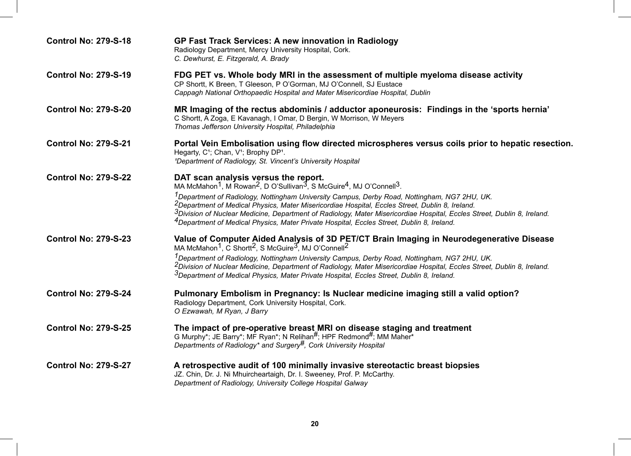| <b>Control No: 279-S-18</b> | <b>GP Fast Track Services: A new innovation in Radiology</b><br>Radiology Department, Mercy University Hospital, Cork.<br>C. Dewhurst, E. Fitzgerald, A. Brady                                                                                                                                                                                                                                                                                                                                                                                                                                                                                       |  |
|-----------------------------|------------------------------------------------------------------------------------------------------------------------------------------------------------------------------------------------------------------------------------------------------------------------------------------------------------------------------------------------------------------------------------------------------------------------------------------------------------------------------------------------------------------------------------------------------------------------------------------------------------------------------------------------------|--|
| <b>Control No: 279-S-19</b> | FDG PET vs. Whole body MRI in the assessment of multiple myeloma disease activity<br>CP Shortt, K Breen, T Gleeson, P O'Gorman, MJ O'Connell, SJ Eustace<br>Cappagh National Orthopaedic Hospital and Mater Misericordiae Hospital, Dublin                                                                                                                                                                                                                                                                                                                                                                                                           |  |
| <b>Control No: 279-S-20</b> | MR Imaging of the rectus abdominis / adductor aponeurosis: Findings in the 'sports hernia'<br>C Shortt, A Zoga, E Kavanagh, I Omar, D Bergin, W Morrison, W Meyers<br>Thomas Jefferson University Hospital, Philadelphia                                                                                                                                                                                                                                                                                                                                                                                                                             |  |
| <b>Control No: 279-S-21</b> | Portal Vein Embolisation using flow directed microspheres versus coils prior to hepatic resection.<br>Hegarty, C <sup>1</sup> ; Chan, V <sup>1</sup> ; Brophy DP <sup>1</sup> .<br><sup>1</sup> Department of Radiology, St. Vincent's University Hospital                                                                                                                                                                                                                                                                                                                                                                                           |  |
| <b>Control No: 279-S-22</b> | DAT scan analysis versus the report.<br>MA McMahon <sup>1</sup> , M Rowan <sup>2</sup> , D O'Sullivan <sup>3</sup> , S McGuire <sup>4</sup> , MJ O'Connell <sup>3</sup> .<br><sup>1</sup> Department of Radiology, Nottingham University Campus, Derby Road, Nottingham, NG7 2HU, UK.<br><sup>2</sup> Department of Medical Physics, Mater Misericordiae Hospital, Eccles Street, Dublin 8, Ireland.<br><sup>3</sup> Division of Nuclear Medicine, Department of Radiology, Mater Misericordiae Hospital, Eccles Street, Dublin 8, Ireland.<br><sup>4</sup> Department of Medical Physics, Mater Private Hospital, Eccles Street, Dublin 8, Ireland. |  |
| <b>Control No: 279-S-23</b> | Value of Computer Aided Analysis of 3D PET/CT Brain Imaging in Neurodegenerative Disease<br>MA McMahon <sup>1</sup> , C Shortt <sup>2</sup> , S McGuire <sup>3</sup> , MJ O'Connell <sup>2</sup><br><sup>1</sup> Department of Radiology, Nottingham University Campus, Derby Road, Nottingham, NG7 2HU, UK.<br><sup>2</sup> Division of Nuclear Medicine, Department of Radiology, Mater Misericordiae Hospital, Eccles Street, Dublin 8, Ireland.<br><sup>3</sup> Department of Medical Physics, Mater Private Hospital, Eccles Street, Dublin 8, Ireland.                                                                                         |  |
| <b>Control No: 279-S-24</b> | Pulmonary Embolism in Pregnancy: Is Nuclear medicine imaging still a valid option?<br>Radiology Department, Cork University Hospital, Cork.<br>O Ezwawah, M Ryan, J Barry                                                                                                                                                                                                                                                                                                                                                                                                                                                                            |  |
| <b>Control No: 279-S-25</b> | The impact of pre-operative breast MRI on disease staging and treatment<br>G Murphy*; JE Barry*; MF Ryan*; N Relihan#; HPF Redmond#; MM Maher*<br>Departments of Radiology* and Surgery <sup>#</sup> , Cork University Hospital                                                                                                                                                                                                                                                                                                                                                                                                                      |  |
| <b>Control No: 279-S-27</b> | A retrospective audit of 100 minimally invasive stereotactic breast biopsies<br>JZ. Chin, Dr. J. Ni Mhuircheartaigh, Dr. I. Sweeney, Prof. P. McCarthy.<br>Department of Radiology, University College Hospital Galway                                                                                                                                                                                                                                                                                                                                                                                                                               |  |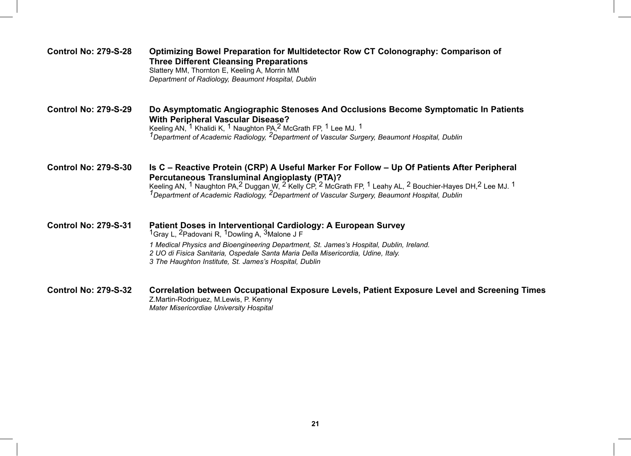| <b>Control No: 279-S-28</b> | Optimizing Bowel Preparation for Multidetector Row CT Colonography: Comparison of<br><b>Three Different Cleansing Preparations</b><br>Slattery MM, Thornton E, Keeling A, Morrin MM<br>Department of Radiology, Beaumont Hospital, Dublin                                                                                                                                                                                                                                           |
|-----------------------------|-------------------------------------------------------------------------------------------------------------------------------------------------------------------------------------------------------------------------------------------------------------------------------------------------------------------------------------------------------------------------------------------------------------------------------------------------------------------------------------|
| <b>Control No: 279-S-29</b> | Do Asymptomatic Angiographic Stenoses And Occlusions Become Symptomatic In Patients<br><b>With Peripheral Vascular Disease?</b><br>Keeling AN, <sup>1</sup> Khalidi K, <sup>1</sup> Naughton PA, <sup>2</sup> McGrath FP, <sup>1</sup> Lee MJ. <sup>1</sup><br><sup>1</sup> Department of Academic Radiology, <sup>2</sup> Department of Vascular Surgery, Beaumont Hospital, Dublin                                                                                                |
| <b>Control No: 279-S-30</b> | Is C – Reactive Protein (CRP) A Useful Marker For Follow – Up Of Patients After Peripheral<br><b>Percutaneous Transluminal Angioplasty (PTA)?</b><br>Keeling AN, <sup>1</sup> Naughton PA, <sup>2</sup> Duggan W, <sup>2</sup> Kelly CP, <sup>2</sup> McGrath FP, <sup>1</sup> Leahy AL, <sup>2</sup> Bouchier-Hayes DH, <sup>2</sup> Lee MJ. <sup>1</sup><br><sup>1</sup> Department of Academic Radiology, <sup>2</sup> Department of Vascular Surgery, Beaumont Hospital, Dublin |
| <b>Control No: 279-S-31</b> | Patient Doses in Interventional Cardiology: A European Survey<br><sup>1</sup> Gray L, <sup>2</sup> Padovani R, <sup>1</sup> Dowling A, <sup>3</sup> Malone J F<br>1 Medical Physics and Bioengineering Department, St. James's Hospital, Dublin, Ireland.<br>2 UO di Fisica Sanitaria, Ospedale Santa Maria Della Misericordia, Udine, Italy.<br>3 The Haughton Institute, St. James's Hospital, Dublin                                                                             |
| <b>Control No: 279-S-32</b> | Correlation between Occupational Exposure Levels, Patient Exposure Level and Screening Times<br>Z.Martin-Rodriguez, M.Lewis, P. Kenny                                                                                                                                                                                                                                                                                                                                               |

*Mater Misericordiae University Hospital*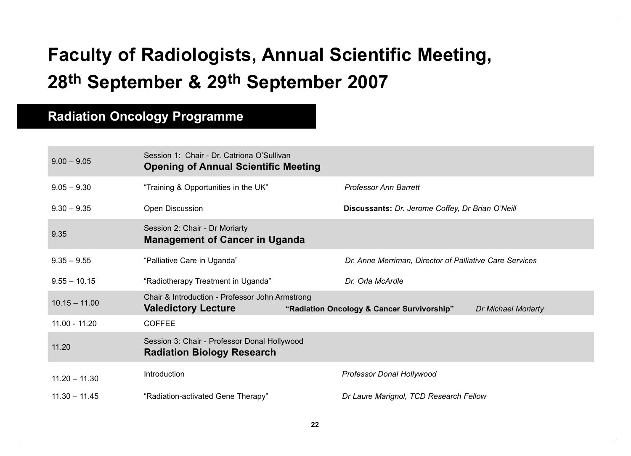## **Faculty of Radiologists, Annual Scientific Meeting, 28th September & 29th September 2007**

### **Radiation Oncology Programme**

| $9.00 - 9.05$   | Session 1: Chair - Dr. Catriona O'Sullivan<br><b>Opening of Annual Scientific Meeting</b> |                                                                          |
|-----------------|-------------------------------------------------------------------------------------------|--------------------------------------------------------------------------|
| $9.05 - 9.30$   | "Training & Opportunities in the UK"                                                      | <b>Professor Ann Barrett</b>                                             |
| $9.30 - 9.35$   | Open Discussion                                                                           | Discussants: Dr. Jerome Coffey, Dr Brian O'Neill                         |
| 9.35            | Session 2: Chair - Dr Moriarty<br><b>Management of Cancer in Uganda</b>                   |                                                                          |
| $9.35 - 9.55$   | "Palliative Care in Uganda"                                                               | Dr. Anne Merriman, Director of Palliative Care Services                  |
| $9.55 - 10.15$  | "Radiotherapy Treatment in Uganda"                                                        | Dr. Orla McArdle                                                         |
| $10.15 - 11.00$ | Chair & Introduction - Professor John Armstrong<br><b>Valedictory Lecture</b>             | "Radiation Oncology & Cancer Survivorship"<br><b>Dr Michael Moriarty</b> |
| $11.00 - 11.20$ | <b>COFFEE</b>                                                                             |                                                                          |
| 11.20           | Session 3: Chair - Professor Donal Hollywood<br><b>Radiation Biology Research</b>         |                                                                          |
| $11.20 - 11.30$ | Introduction                                                                              | Professor Donal Hollywood                                                |
| $11.30 - 11.45$ | "Radiation-activated Gene Therapy"                                                        | Dr Laure Marignol, TCD Research Fellow                                   |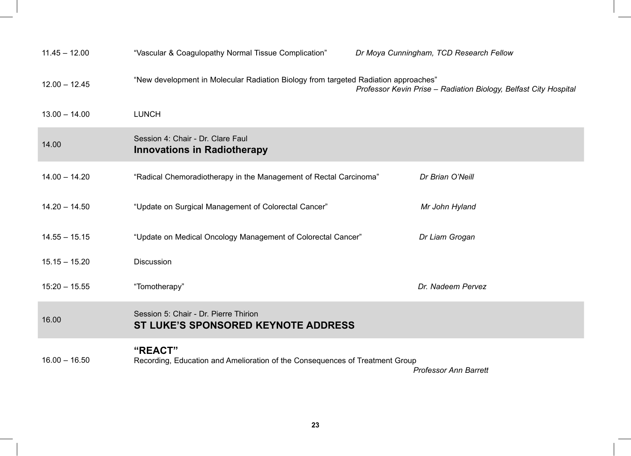| $11.45 - 12.00$ | "Vascular & Coagulopathy Normal Tissue Complication"                                    | Dr Moya Cunningham, TCD Research Fellow                          |
|-----------------|-----------------------------------------------------------------------------------------|------------------------------------------------------------------|
| $12.00 - 12.45$ | "New development in Molecular Radiation Biology from targeted Radiation approaches"     | Professor Kevin Prise - Radiation Biology, Belfast City Hospital |
| $13.00 - 14.00$ | <b>LUNCH</b>                                                                            |                                                                  |
| 14.00           | Session 4: Chair - Dr. Clare Faul<br><b>Innovations in Radiotherapy</b>                 |                                                                  |
| $14.00 - 14.20$ | "Radical Chemoradiotherapy in the Management of Rectal Carcinoma"                       | Dr Brian O'Neill                                                 |
| $14.20 - 14.50$ | "Update on Surgical Management of Colorectal Cancer"                                    | Mr John Hyland                                                   |
| $14.55 - 15.15$ | "Update on Medical Oncology Management of Colorectal Cancer"                            | Dr Liam Grogan                                                   |
| $15.15 - 15.20$ | <b>Discussion</b>                                                                       |                                                                  |
| $15:20 - 15.55$ | "Tomotherapy"                                                                           | Dr. Nadeem Pervez                                                |
| 16.00           | Session 5: Chair - Dr. Pierre Thirion<br><b>ST LUKE'S SPONSORED KEYNOTE ADDRESS</b>     |                                                                  |
| $16.00 - 16.50$ | "REACT"<br>Recording, Education and Amelioration of the Consequences of Treatment Group | <b>Professor Ann Barrett</b>                                     |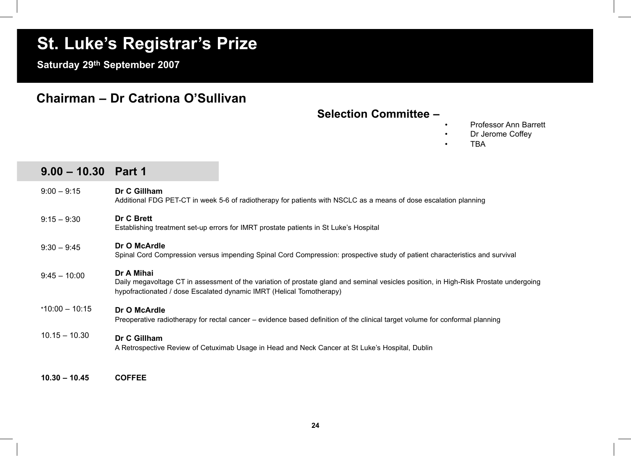## **St. Luke's Registrar's Prize**

**Saturday 29th September 2007**

#### **Chairman – Dr Catriona O'Sullivan**

#### **Selection Committee –**

- Professor Ann Barrett
- Dr Jerome Coffey
- TBA

| $9.00 - 10.30$ Part 1 |                                                                                                                                                                                                                             |
|-----------------------|-----------------------------------------------------------------------------------------------------------------------------------------------------------------------------------------------------------------------------|
| $9:00 - 9:15$         | Dr C Gillham<br>Additional FDG PET-CT in week 5-6 of radiotherapy for patients with NSCLC as a means of dose escalation planning                                                                                            |
| $9:15 - 9:30$         | Dr C Brett<br>Establishing treatment set-up errors for IMRT prostate patients in St Luke's Hospital                                                                                                                         |
| $9:30 - 9:45$         | Dr O McArdle<br>Spinal Cord Compression versus impending Spinal Cord Compression: prospective study of patient characteristics and survival                                                                                 |
| $9:45 - 10:00$        | Dr A Mihai<br>Daily megavoltage CT in assessment of the variation of prostate gland and seminal vesicles position, in High-Risk Prostate undergoing<br>hypofractionated / dose Escalated dynamic IMRT (Helical Tomotherapy) |
| $*10:00 - 10:15$      | Dr O McArdle<br>Preoperative radiotherapy for rectal cancer – evidence based definition of the clinical target volume for conformal planning                                                                                |
| $10.15 - 10.30$       | Dr C Gillham<br>A Retrospective Review of Cetuximab Usage in Head and Neck Cancer at St Luke's Hospital, Dublin                                                                                                             |
|                       |                                                                                                                                                                                                                             |

**10.30 – 10.45 COFFEE**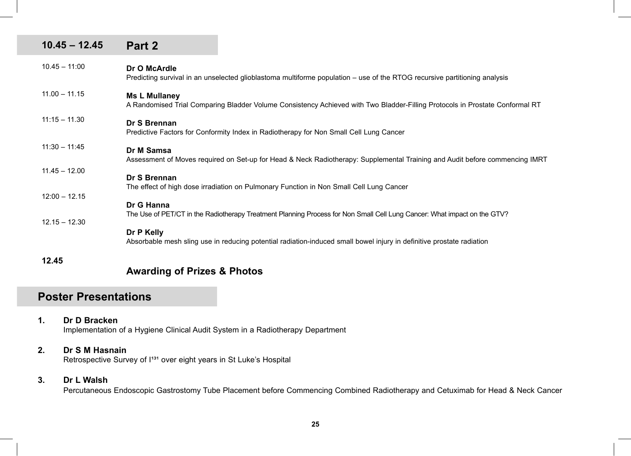| $10.45 - 12.45$ | Part 2                                                                                                                                               |
|-----------------|------------------------------------------------------------------------------------------------------------------------------------------------------|
| $10.45 - 11:00$ | Dr O McArdle<br>Predicting survival in an unselected glioblastoma multiforme population - use of the RTOG recursive partitioning analysis            |
| $11.00 - 11.15$ | <b>Ms L Mullaney</b><br>A Randomised Trial Comparing Bladder Volume Consistency Achieved with Two Bladder-Filling Protocols in Prostate Conformal RT |
| $11:15 - 11.30$ | Dr S Brennan<br>Predictive Factors for Conformity Index in Radiotherapy for Non Small Cell Lung Cancer                                               |
| $11:30 - 11:45$ | Dr M Samsa<br>Assessment of Moves required on Set-up for Head & Neck Radiotherapy: Supplemental Training and Audit before commencing IMRT            |
| $11.45 - 12.00$ | Dr S Brennan<br>The effect of high dose irradiation on Pulmonary Function in Non Small Cell Lung Cancer                                              |
| $12:00 - 12.15$ | Dr G Hanna<br>The Use of PET/CT in the Radiotherapy Treatment Planning Process for Non Small Cell Lung Cancer: What impact on the GTV?               |
| $12.15 - 12.30$ | Dr P Kelly<br>Absorbable mesh sling use in reducing potential radiation-induced small bowel injury in definitive prostate radiation                  |
| 12.45           |                                                                                                                                                      |
|                 | <b>Awarding of Prizes &amp; Photos</b>                                                                                                               |

#### **Poster Presentations**

**1. Dr D Bracken** Implementation of a Hygiene Clinical Audit System in a Radiotherapy Department

#### **2. Dr S M Hasnain** Retrospective Survey of I<sup>131</sup> over eight years in St Luke's Hospital

#### **3. Dr L Walsh**

Percutaneous Endoscopic Gastrostomy Tube Placement before Commencing Combined Radiotherapy and Cetuximab for Head & Neck Cancer